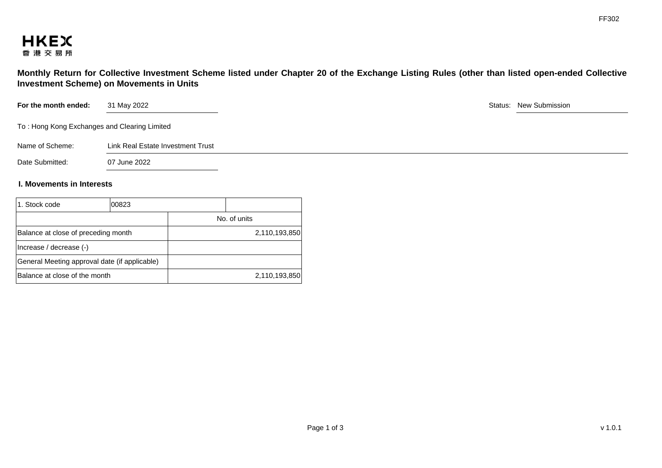

**Monthly Return for Collective Investment Scheme listed under Chapter 20 of the Exchange Listing Rules (other than listed open-ended Collective Investment Scheme) on Movements in Units** 

| For the month ended:                         | 31 May 2022                       | Status: New Submission |
|----------------------------------------------|-----------------------------------|------------------------|
| To: Hong Kong Exchanges and Clearing Limited |                                   |                        |
| Name of Scheme:                              | Link Real Estate Investment Trust |                        |
| Date Submitted:                              | 07 June 2022                      |                        |

## **I. Movements in Interests**

| 1. Stock code                       | 00823                                         |               |
|-------------------------------------|-----------------------------------------------|---------------|
|                                     |                                               | No. of units  |
| Balance at close of preceding month |                                               | 2,110,193,850 |
| Increase / decrease (-)             |                                               |               |
|                                     | General Meeting approval date (if applicable) |               |
| Balance at close of the month       |                                               | 2,110,193,850 |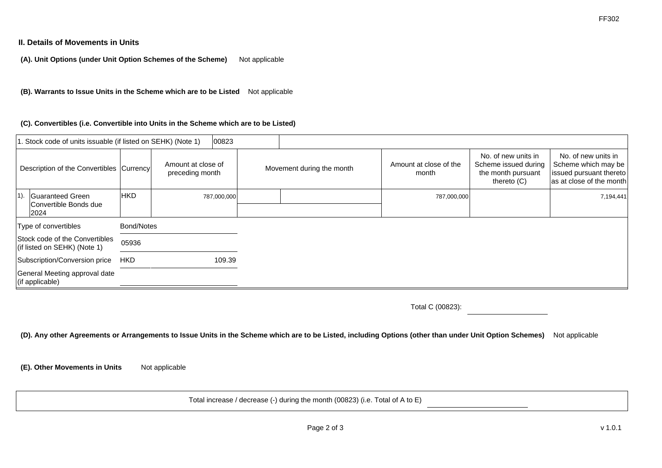## **II. Details of Movements in Units**

**(A). Unit Options (under Unit Option Schemes of the Scheme)** Not applicable

**(B). Warrants to Issue Units in the Scheme which are to be Listed** Not applicable

#### **(C). Convertibles (i.e. Convertible into Units in the Scheme which are to be Listed)**

|        | 1. Stock code of units issuable (if listed on SEHK) (Note 1)   |            |                                       | 00823       |                           |                                 |                                                                                    |                                                                                                   |
|--------|----------------------------------------------------------------|------------|---------------------------------------|-------------|---------------------------|---------------------------------|------------------------------------------------------------------------------------|---------------------------------------------------------------------------------------------------|
|        | Description of the Convertibles Currency                       |            | Amount at close of<br>preceding month |             | Movement during the month | Amount at close of the<br>month | No. of new units in<br>Scheme issued during<br>the month pursuant<br>thereto $(C)$ | No. of new units in<br>Scheme which may be<br>issued pursuant thereto<br>as at close of the month |
| $1$ ). | Guaranteed Green<br>Convertible Bonds due<br>2024              | <b>HKD</b> |                                       | 787,000,000 |                           | 787,000,000                     |                                                                                    | 7,194,441                                                                                         |
|        | Type of convertibles                                           | Bond/Notes |                                       |             |                           |                                 |                                                                                    |                                                                                                   |
|        | Stock code of the Convertibles<br>(if listed on SEHK) (Note 1) | 05936      |                                       |             |                           |                                 |                                                                                    |                                                                                                   |
|        | Subscription/Conversion price                                  | <b>HKD</b> |                                       | 109.39      |                           |                                 |                                                                                    |                                                                                                   |
|        | General Meeting approval date<br>(if applicable)               |            |                                       |             |                           |                                 |                                                                                    |                                                                                                   |

Total C (00823):

**(D). Any other Agreements or Arrangements to Issue Units in the Scheme which are to be Listed, including Options (other than under Unit Option Schemes)** Not applicable

**(E). Other Movements in Units** Not applicable

Total increase / decrease (-) during the month (00823) (i.e. Total of A to E)